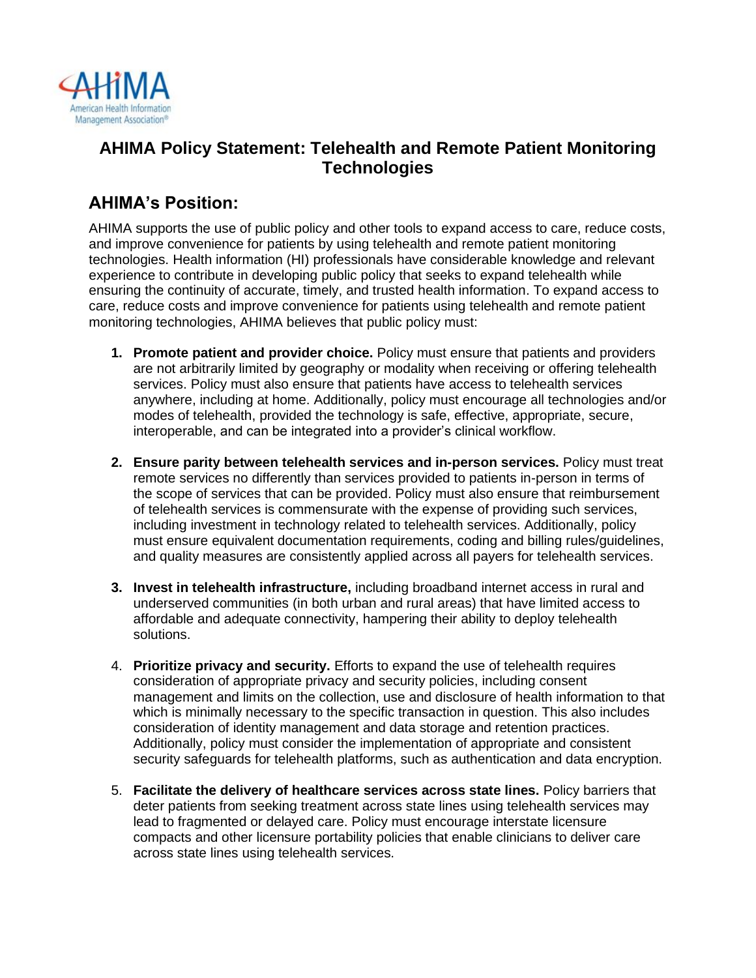

## **AHIMA Policy Statement: Telehealth and Remote Patient Monitoring Technologies**

## **AHIMA's Position:**

AHIMA supports the use of public policy and other tools to expand access to care, reduce costs, and improve convenience for patients by using telehealth and remote patient monitoring technologies. Health information (HI) professionals have considerable knowledge and relevant experience to contribute in developing public policy that seeks to expand telehealth while ensuring the continuity of accurate, timely, and trusted health information. To expand access to care, reduce costs and improve convenience for patients using telehealth and remote patient monitoring technologies, AHIMA believes that public policy must:

- **1. Promote patient and provider choice.** Policy must ensure that patients and providers are not arbitrarily limited by geography or modality when receiving or offering telehealth services. Policy must also ensure that patients have access to telehealth services anywhere, including at home. Additionally, policy must encourage all technologies and/or modes of telehealth, provided the technology is safe, effective, appropriate, secure, interoperable, and can be integrated into a provider's clinical workflow.
- **2. Ensure parity between telehealth services and in-person services.** Policy must treat remote services no differently than services provided to patients in-person in terms of the scope of services that can be provided. Policy must also ensure that reimbursement of telehealth services is commensurate with the expense of providing such services, including investment in technology related to telehealth services. Additionally, policy must ensure equivalent documentation requirements, coding and billing rules/guidelines, and quality measures are consistently applied across all payers for telehealth services.
- **3. Invest in telehealth infrastructure,** including broadband internet access in rural and underserved communities (in both urban and rural areas) that have limited access to affordable and adequate connectivity, hampering their ability to deploy telehealth solutions.
- 4. **Prioritize privacy and security.** Efforts to expand the use of telehealth requires consideration of appropriate privacy and security policies, including consent management and limits on the collection, use and disclosure of health information to that which is minimally necessary to the specific transaction in question. This also includes consideration of identity management and data storage and retention practices. Additionally, policy must consider the implementation of appropriate and consistent security safeguards for telehealth platforms, such as authentication and data encryption.
- 5. **Facilitate the delivery of healthcare services across state lines.** Policy barriers that deter patients from seeking treatment across state lines using telehealth services may lead to fragmented or delayed care. Policy must encourage interstate licensure compacts and other licensure portability policies that enable clinicians to deliver care across state lines using telehealth services.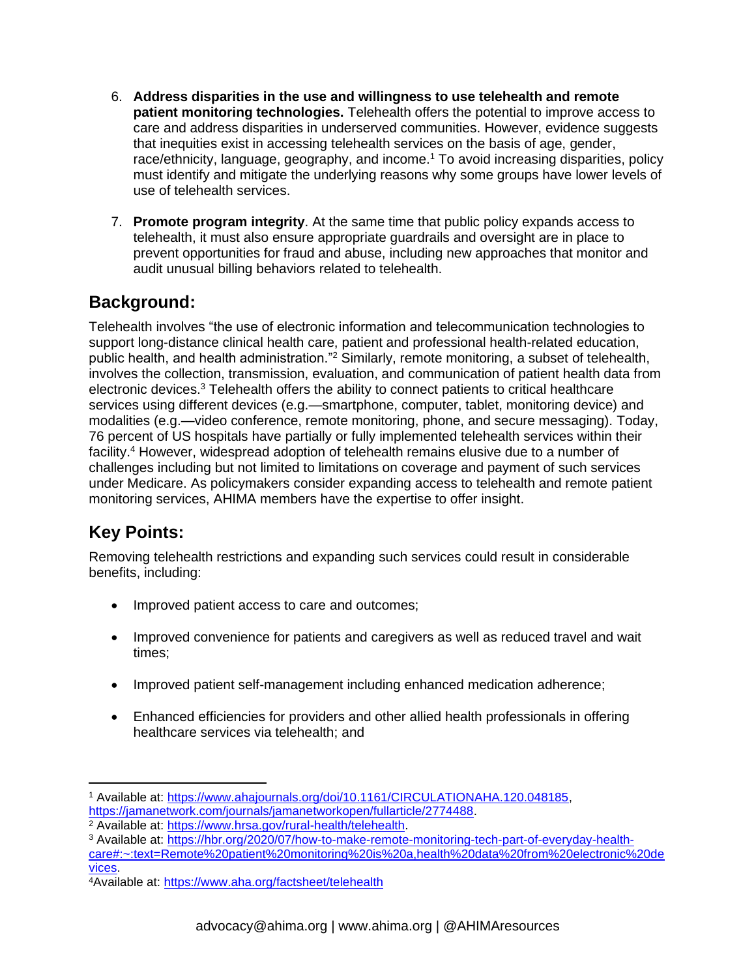- 6. **Address disparities in the use and willingness to use telehealth and remote patient monitoring technologies.** Telehealth offers the potential to improve access to care and address disparities in underserved communities. However, evidence suggests that inequities exist in accessing telehealth services on the basis of age, gender, race/ethnicity, language, geography, and income.<sup>1</sup> To avoid increasing disparities, policy must identify and mitigate the underlying reasons why some groups have lower levels of use of telehealth services.
- 7. **Promote program integrity**. At the same time that public policy expands access to telehealth, it must also ensure appropriate guardrails and oversight are in place to prevent opportunities for fraud and abuse, including new approaches that monitor and audit unusual billing behaviors related to telehealth.

#### **Background:**

Telehealth involves "the use of electronic information and telecommunication technologies to support long-distance clinical health care, patient and professional health-related education, public health, and health administration."<sup>2</sup> Similarly, remote monitoring, a subset of telehealth, involves the collection, transmission, evaluation, and communication of patient health data from electronic devices.<sup>3</sup> Telehealth offers the ability to connect patients to critical healthcare services using different devices (e.g.—smartphone, computer, tablet, monitoring device) and modalities (e.g.—video conference, remote monitoring, phone, and secure messaging). Today, 76 percent of US hospitals have partially or fully implemented telehealth services within their facility.<sup>4</sup> However, widespread adoption of telehealth remains elusive due to a number of challenges including but not limited to limitations on coverage and payment of such services under Medicare. As policymakers consider expanding access to telehealth and remote patient monitoring services, AHIMA members have the expertise to offer insight.

# **Key Points:**

Removing telehealth restrictions and expanding such services could result in considerable benefits, including:

- Improved patient access to care and outcomes;
- Improved convenience for patients and caregivers as well as reduced travel and wait times;
- Improved patient self-management including enhanced medication adherence;
- Enhanced efficiencies for providers and other allied health professionals in offering healthcare services via telehealth; and

<sup>1</sup> Available at: [https://www.ahajournals.org/doi/10.1161/CIRCULATIONAHA.120.048185,](https://www.ahajournals.org/doi/10.1161/CIRCULATIONAHA.120.048185) [https://jamanetwork.com/journals/jamanetworkopen/fullarticle/2774488.](https://jamanetwork.com/journals/jamanetworkopen/fullarticle/2774488)

<sup>2</sup> Available at: [https://www.hrsa.gov/rural-health/telehealth.](https://www.hrsa.gov/rural-health/telehealth)

<sup>3</sup> Available at: [https://hbr.org/2020/07/how-to-make-remote-monitoring-tech-part-of-everyday-health-](https://hbr.org/2020/07/how-to-make-remote-monitoring-tech-part-of-everyday-health-care#:~:text=Remote%20patient%20monitoring%20is%20a,health%20data%20from%20electronic%20devices)

[care#:~:text=Remote%20patient%20monitoring%20is%20a,health%20data%20from%20electronic%20de](https://hbr.org/2020/07/how-to-make-remote-monitoring-tech-part-of-everyday-health-care#:~:text=Remote%20patient%20monitoring%20is%20a,health%20data%20from%20electronic%20devices) [vices.](https://hbr.org/2020/07/how-to-make-remote-monitoring-tech-part-of-everyday-health-care#:~:text=Remote%20patient%20monitoring%20is%20a,health%20data%20from%20electronic%20devices)

<sup>4</sup>Available at:<https://www.aha.org/factsheet/telehealth>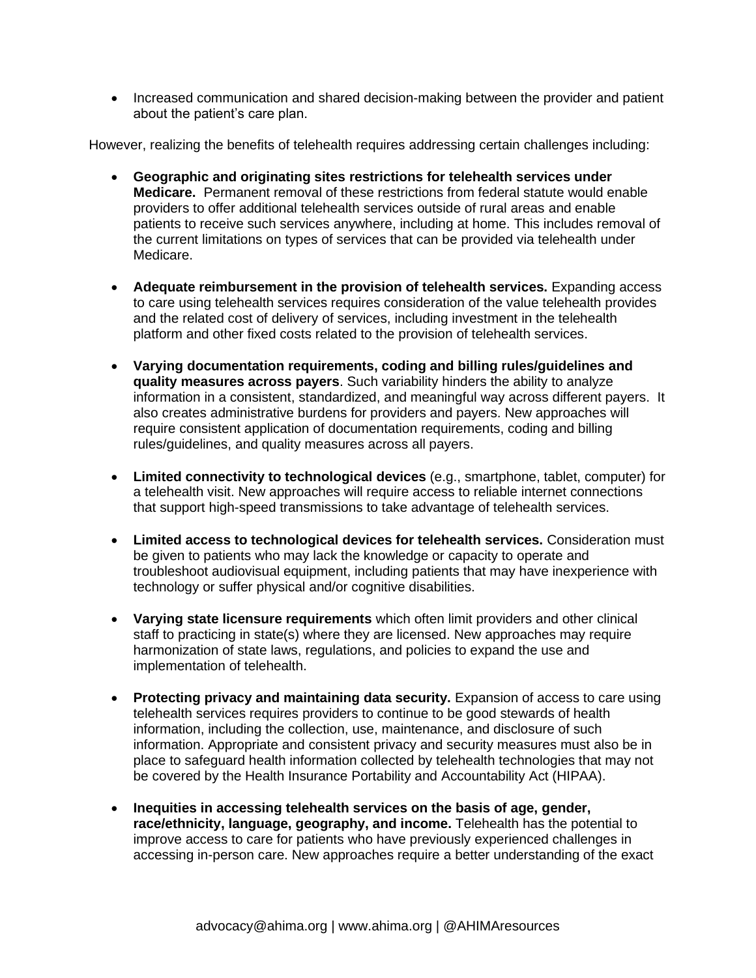• Increased communication and shared decision-making between the provider and patient about the patient's care plan.

However, realizing the benefits of telehealth requires addressing certain challenges including:

- **Geographic and originating sites restrictions for telehealth services under Medicare.** Permanent removal of these restrictions from federal statute would enable providers to offer additional telehealth services outside of rural areas and enable patients to receive such services anywhere, including at home. This includes removal of the current limitations on types of services that can be provided via telehealth under Medicare.
- **Adequate reimbursement in the provision of telehealth services.** Expanding access to care using telehealth services requires consideration of the value telehealth provides and the related cost of delivery of services, including investment in the telehealth platform and other fixed costs related to the provision of telehealth services.
- **Varying documentation requirements, coding and billing rules/guidelines and quality measures across payers**. Such variability hinders the ability to analyze information in a consistent, standardized, and meaningful way across different payers. It also creates administrative burdens for providers and payers. New approaches will require consistent application of documentation requirements, coding and billing rules/guidelines, and quality measures across all payers.
- **Limited connectivity to technological devices** (e.g., smartphone, tablet, computer) for a telehealth visit. New approaches will require access to reliable internet connections that support high-speed transmissions to take advantage of telehealth services.
- **Limited access to technological devices for telehealth services.** Consideration must be given to patients who may lack the knowledge or capacity to operate and troubleshoot audiovisual equipment, including patients that may have inexperience with technology or suffer physical and/or cognitive disabilities.
- **Varying state licensure requirements** which often limit providers and other clinical staff to practicing in state(s) where they are licensed. New approaches may require harmonization of state laws, regulations, and policies to expand the use and implementation of telehealth.
- **Protecting privacy and maintaining data security.** Expansion of access to care using telehealth services requires providers to continue to be good stewards of health information, including the collection, use, maintenance, and disclosure of such information. Appropriate and consistent privacy and security measures must also be in place to safeguard health information collected by telehealth technologies that may not be covered by the Health Insurance Portability and Accountability Act (HIPAA).
- **Inequities in accessing telehealth services on the basis of age, gender, race/ethnicity, language, geography, and income.** Telehealth has the potential to improve access to care for patients who have previously experienced challenges in accessing in-person care. New approaches require a better understanding of the exact